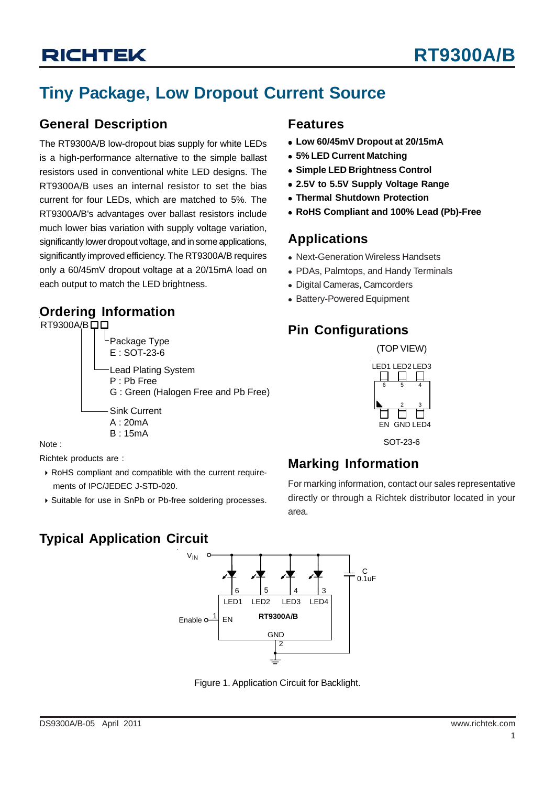# **Tiny Package, Low Dropout Current Source**

### **General Description**

The RT9300A/B low-dropout bias supply for white LEDs is a high-performance alternative to the simple ballast resistors used in conventional white LED designs. The RT9300A/B uses an internal resistor to set the bias current for four LEDs, which are matched to 5%. The RT9300A/B's advantages over ballast resistors include much lower bias variation with supply voltage variation, significantly lower dropout voltage, and in some applications, significantly improved efficiency. The RT9300A/B requires only a 60/45mV dropout voltage at a 20/15mA load on each output to match the LED brightness.

## **Ordering Information**

### RT9300A/B口口 Package Type E : SOT-23-6 Lead Plating System P : Pb Free G : Green (Halogen Free and Pb Free) Sink Current A : 20mA B : 15mA

Note :

Richtek products are :

- ` RoHS compliant and compatible with the current require ments of IPC/JEDEC J-STD-020.
- ` Suitable for use in SnPb or Pb-free soldering processes.

## **Features**

- <sup>z</sup> **Low 60/45mV Dropout at 20/15mA**
- <sup>z</sup> **5% LED Current Matching**
- **Simple LED Brightness Control**
- <sup>z</sup> **2.5V to 5.5V Supply Voltage Range**
- **Thermal Shutdown Protection**
- <sup>z</sup> **RoHS Compliant and 100% Lead (Pb)-Free**

## **Applications**

- Next-Generation Wireless Handsets
- PDAs, Palmtops, and Handy Terminals
- Digital Cameras, Camcorders
- Battery-Powered Equipment

## **Pin Configurations**

(TOP VIEW)



**Marking Information**

For marking information, contact our sales representative directly or through a Richtek distributor located in your area.

# **Typical Application Circuit**



Figure 1. Application Circuit for Backlight.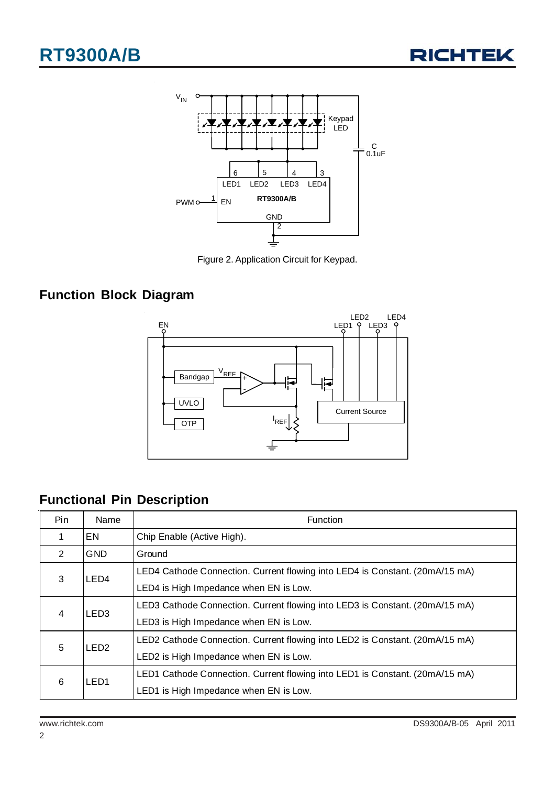



Figure 2. Application Circuit for Keypad.

## **Function Block Diagram**



# **Functional Pin Description**

| Pin. | Name             | Function                                                                     |  |  |
|------|------------------|------------------------------------------------------------------------------|--|--|
| 1    | EN.              | Chip Enable (Active High).                                                   |  |  |
| 2    | GND              | Ground                                                                       |  |  |
| 3    | LED <sub>4</sub> | LED4 Cathode Connection. Current flowing into LED4 is Constant. (20mA/15 mA) |  |  |
|      |                  | LED4 is High Impedance when EN is Low.                                       |  |  |
| 4    | LED <sub>3</sub> | LED3 Cathode Connection. Current flowing into LED3 is Constant. (20mA/15 mA) |  |  |
|      |                  | LED3 is High Impedance when EN is Low.                                       |  |  |
| 5    | LED <sub>2</sub> | LED2 Cathode Connection. Current flowing into LED2 is Constant. (20mA/15 mA) |  |  |
|      |                  | LED2 is High Impedance when EN is Low.                                       |  |  |
| 6    | LED <sub>1</sub> | LED1 Cathode Connection. Current flowing into LED1 is Constant. (20mA/15 mA) |  |  |
|      |                  | LED1 is High Impedance when EN is Low.                                       |  |  |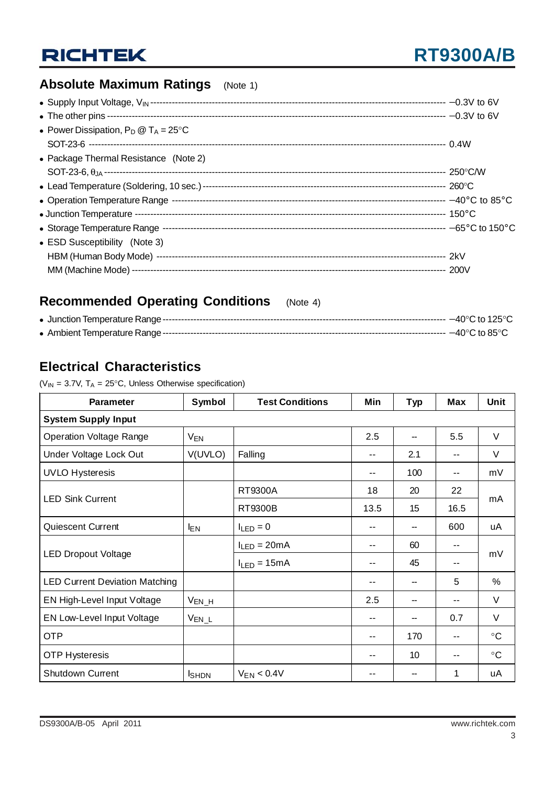# **RICHTEK**

# **Absolute Maximum Ratings** (Note 1)

| • Power Dissipation, $P_D @ T_A = 25^{\circ}C$ |  |
|------------------------------------------------|--|
|                                                |  |
| • Package Thermal Resistance (Note 2)          |  |
|                                                |  |
|                                                |  |
|                                                |  |
|                                                |  |
|                                                |  |
| • ESD Susceptibility (Note 3)                  |  |
|                                                |  |
|                                                |  |

## **Recommended Operating Conditions** (Note 4)

## **Electrical Characteristics**

( $V_{IN}$  = 3.7V,  $T_A$  = 25°C, Unless Otherwise specification)

| Parameter                             | Symbol                | <b>Test Conditions</b> | Min   | Typ | <b>Max</b> | Unit        |  |  |
|---------------------------------------|-----------------------|------------------------|-------|-----|------------|-------------|--|--|
| <b>System Supply Input</b>            |                       |                        |       |     |            |             |  |  |
| <b>Operation Voltage Range</b>        | <b>V<sub>EN</sub></b> |                        | 2.5   |     | 5.5        | $\vee$      |  |  |
| Under Voltage Lock Out                | V(UVLO)               | Falling                | $-$   | 2.1 | --         | $\vee$      |  |  |
| <b>UVLO Hysteresis</b>                |                       |                        | --    | 100 | --         | mV          |  |  |
|                                       |                       | <b>RT9300A</b>         | 18    | 20  | 22         | mA          |  |  |
| <b>LED Sink Current</b>               |                       | <b>RT9300B</b>         | 13.5  | 15  | 16.5       |             |  |  |
| <b>Quiescent Current</b>              | <b>EN</b>             | $I_{LED} = 0$          | --    | --  | 600        | uA          |  |  |
|                                       |                       | $I_{LED} = 20mA$       | --    | 60  | --         | mV          |  |  |
| <b>LED Dropout Voltage</b>            |                       | $I_{LED} = 15mA$       | --    | 45  | --         |             |  |  |
| <b>LED Current Deviation Matching</b> |                       |                        | --    |     | 5          | $\%$        |  |  |
| EN High-Level Input Voltage           | $V_{EN_H}$            |                        | 2.5   |     | --         | V           |  |  |
| EN Low-Level Input Voltage            | $V_{EN\_L}$           |                        | $- -$ |     | 0.7        | $\vee$      |  |  |
| <b>OTP</b>                            |                       |                        | --    | 170 | $-$        | $^{\circ}C$ |  |  |
| <b>OTP Hysteresis</b>                 |                       |                        | --    | 10  | --         | $\circ$ C   |  |  |
| <b>Shutdown Current</b>               | <b>I</b> SHDN         | $V_{EN}$ < 0.4V        | --    |     | 1          | uA          |  |  |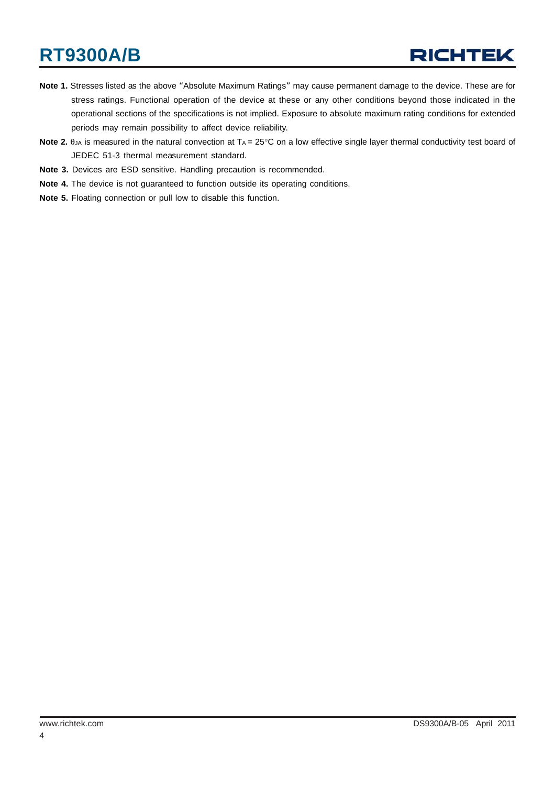# **RT9300A/B**

# **RICHTEK**

- **Note 1.** Stresses listed as the above "Absolute Maximum Ratings" may cause permanent damage to the device. These are for stress ratings. Functional operation of the device at these or any other conditions beyond those indicated in the operational sections of the specifications is not implied. Exposure to absolute maximum rating conditions for extended periods may remain possibility to affect device reliability.
- **Note 2.**  $\theta_{JA}$  is measured in the natural convection at  $T_A = 25^\circ \text{C}$  on a low effective single layer thermal conductivity test board of JEDEC 51-3 thermal measurement standard.
- **Note 3.** Devices are ESD sensitive. Handling precaution is recommended.
- **Note 4.** The device is not guaranteed to function outside its operating conditions.
- **Note 5.** Floating connection or pull low to disable this function.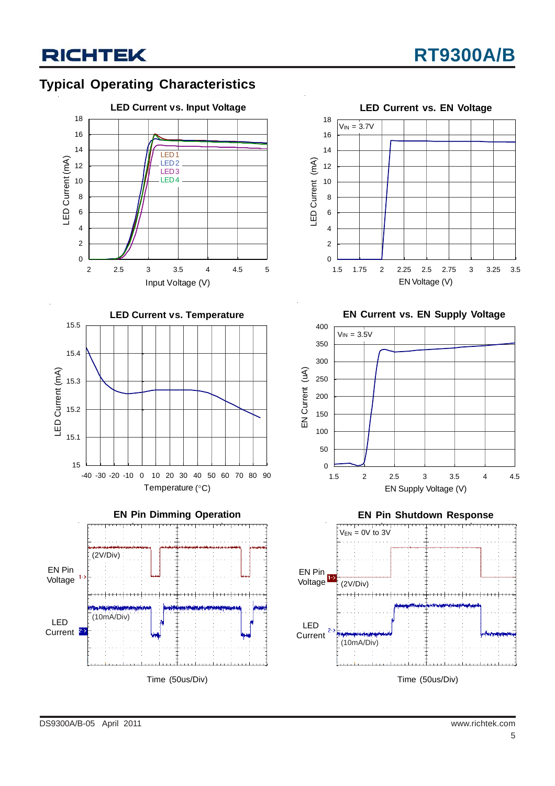









**EN Current vs. EN Supply Voltage EN Current vs. EN Supply Voltage**





Time (50us/Div)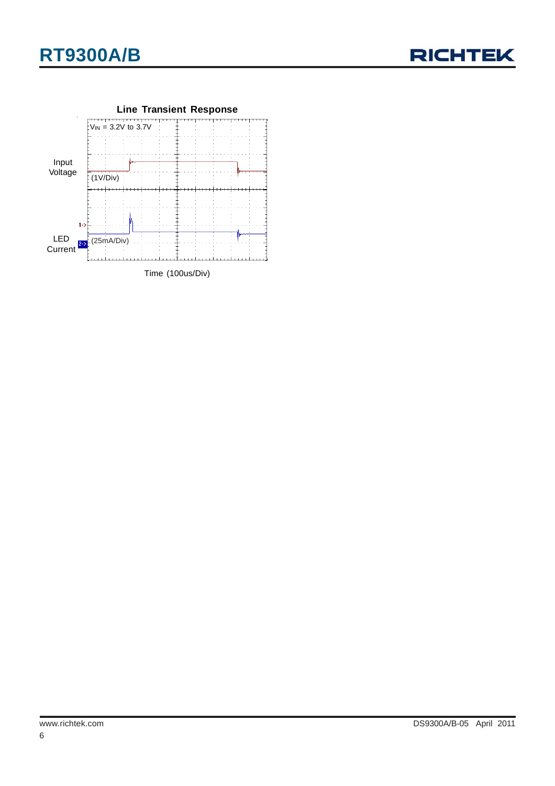



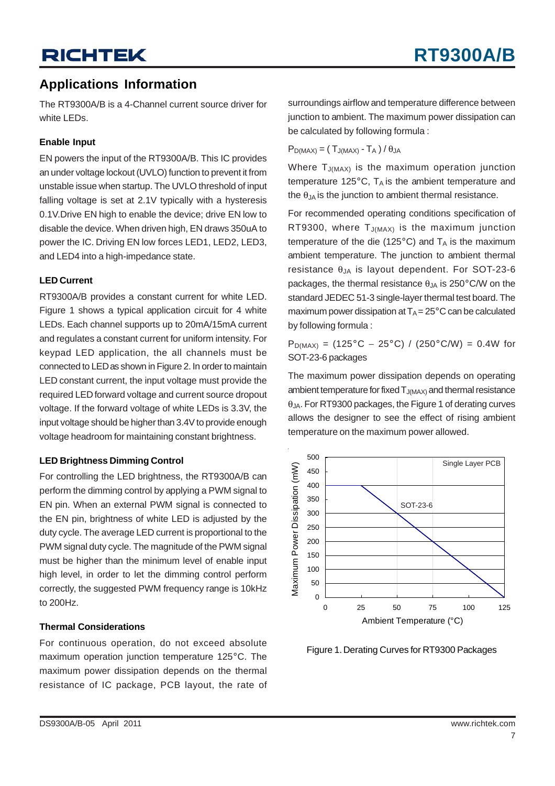### **Applications Information**

The RT9300A/B is a 4-Channel current source driver for white LEDs.

#### **Enable Input**

EN powers the input of the RT9300A/B. This IC provides an under voltage lockout (UVLO) function to prevent it from unstable issue when startup. The UVLO threshold of input falling voltage is set at 2.1V typically with a hysteresis 0.1V.Drive EN high to enable the device; drive EN low to disable the device. When driven high, EN draws 350uA to power the IC. Driving EN low forces LED1, LED2, LED3, and LED4 into a high-impedance state.

#### **LED Current**

RT9300A/B provides a constant current for white LED. Figure 1 shows a typical application circuit for 4 white LEDs. Each channel supports up to 20mA/15mA current and regulates a constant current for uniform intensity. For keypad LED application, the all channels must be connected to LED as shown in Figure 2. In order to maintain LED constant current, the input voltage must provide the required LED forward voltage and current source dropout voltage. If the forward voltage of white LEDs is 3.3V, the input voltage should be higher than 3.4V to provide enough voltage headroom for maintaining constant brightness.

#### **LED Brightness Dimming Control**

For controlling the LED brightness, the RT9300A/B can perform the dimming control by applying a PWM signal to EN pin. When an external PWM signal is connected to the EN pin, brightness of white LED is adjusted by the duty cycle. The average LED current is proportional to the PWM signal duty cycle. The magnitude of the PWM signal must be higher than the minimum level of enable input high level, in order to let the dimming control perform correctly, the suggested PWM frequency range is 10kHz to 200Hz.

#### **Thermal Considerations**

For continuous operation, do not exceed absolute maximum operation junction temperature 125°C. The maximum power dissipation depends on the thermal resistance of IC package, PCB layout, the rate of

surroundings airflow and temperature difference between junction to ambient. The maximum power dissipation can be calculated by following formula :

 $P_{D(MAX)} = (T_{J(MAX)} - T_A) / \theta_{JA}$ 

Where  $T_{J(MAX)}$  is the maximum operation junction temperature 125 $^{\circ}$ C, T<sub>A</sub> is the ambient temperature and the  $\theta_{JA}$  is the junction to ambient thermal resistance.

For recommended operating conditions specification of RT9300, where  $T_{J(MAX)}$  is the maximum junction temperature of the die (125 $^{\circ}$ C) and  $T_A$  is the maximum ambient temperature. The junction to ambient thermal resistance θ<sub>JA</sub> is layout dependent. For SOT-23-6 packages, the thermal resistance  $\theta_{JA}$  is 250°C/W on the standard JEDEC 51-3 single-layer thermal test board. The maximum power dissipation at  $T_A = 25^{\circ}$ C can be calculated by following formula :

 $P_{D(MAX)} = (125^{\circ}C - 25^{\circ}C) / (250^{\circ}C/W) = 0.4W$  for SOT-23-6 packages

The maximum power dissipation depends on operating ambient temperature for fixed  $T_{J(MAX)}$  and thermal resistance θJA. For RT9300 packages, the Figure 1 of derating curves allows the designer to see the effect of rising ambient temperature on the maximum power allowed.



Figure 1. Derating Curves for RT9300 Packages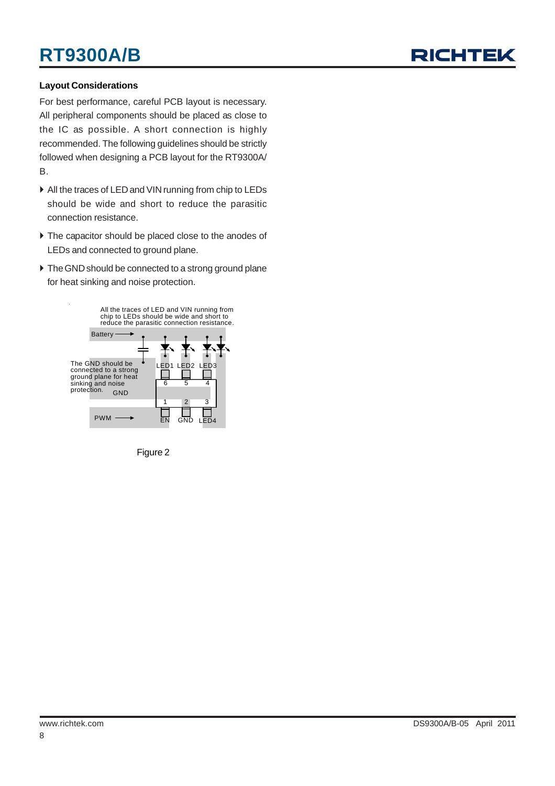# **RT9300A/B**



#### **Layout Considerations**

For best performance, careful PCB layout is necessary. All peripheral components should be placed as close to the IC as possible. A short connection is highly recommended. The following guidelines should be strictly followed when designing a PCB layout for the RT9300A/ B.

- $\blacktriangleright$  All the traces of LED and VIN running from chip to LEDs should be wide and short to reduce the parasitic connection resistance.
- $\blacktriangleright$  The capacitor should be placed close to the anodes of LEDs and connected to ground plane.
- $\triangleright$  The GND should be connected to a strong ground plane for heat sinking and noise protection.